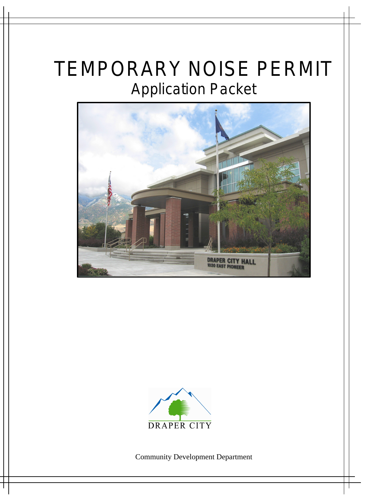# TEMPORARY NOISE PERMIT Application Packet





Community Development Department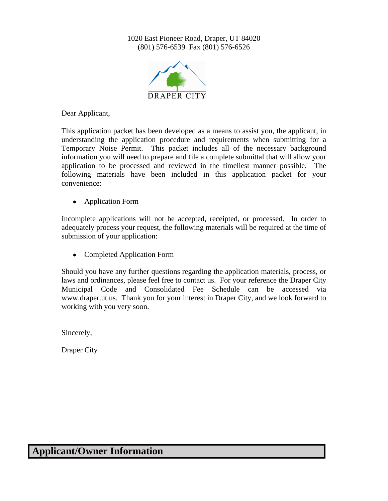#### 1020 East Pioneer Road, Draper, UT 84020 (801) 576-6539 Fax (801) 576-6526



Dear Applicant,

This application packet has been developed as a means to assist you, the applicant, in understanding the application procedure and requirements when submitting for a Temporary Noise Permit. This packet includes all of the necessary background information you will need to prepare and file a complete submittal that will allow your application to be processed and reviewed in the timeliest manner possible. The following materials have been included in this application packet for your convenience:

• Application Form

Incomplete applications will not be accepted, receipted, or processed. In order to adequately process your request, the following materials will be required at the time of submission of your application:

Completed Application Form

Should you have any further questions regarding the application materials, process, or laws and ordinances, please feel free to contact us. For your reference the Draper City Municipal Code and Consolidated Fee Schedule can be accessed via www.draper.ut.us. Thank you for your interest in Draper City, and we look forward to working with you very soon.

Sincerely,

Draper City

# **Applicant/Owner Information**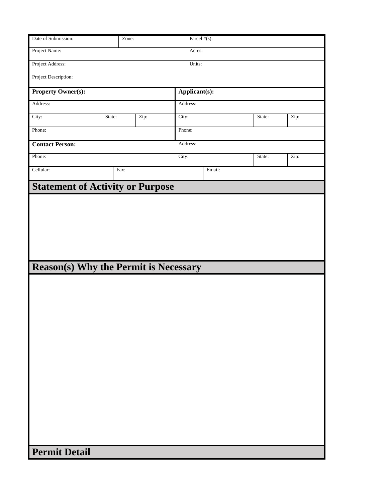| Date of Submission:                          | Zone:  |        |                                                | Parcel #(s): |               |      |  |  |
|----------------------------------------------|--------|--------|------------------------------------------------|--------------|---------------|------|--|--|
| Project Name:                                |        |        |                                                | Acres:       |               |      |  |  |
| Project Address:                             |        |        |                                                | Units:       |               |      |  |  |
| Project Description:                         |        |        |                                                |              |               |      |  |  |
| <b>Property Owner(s):</b>                    |        |        |                                                |              | Applicant(s): |      |  |  |
| Address:                                     |        |        | Address:                                       |              |               |      |  |  |
| City:                                        | State: | Zip:   | City:                                          |              | State:        | Zip: |  |  |
| Phone:                                       |        | Phone: |                                                |              |               |      |  |  |
| <b>Contact Person:</b>                       |        |        | Address:                                       |              |               |      |  |  |
| Phone:                                       |        |        | $\overline{\mathrm{Zip: }}$<br>City:<br>State: |              |               |      |  |  |
| Cellular:                                    | Fax:   |        |                                                | Email:       |               |      |  |  |
| <b>Statement of Activity or Purpose</b>      |        |        |                                                |              |               |      |  |  |
|                                              |        |        |                                                |              |               |      |  |  |
|                                              |        |        |                                                |              |               |      |  |  |
|                                              |        |        |                                                |              |               |      |  |  |
|                                              |        |        |                                                |              |               |      |  |  |
|                                              |        |        |                                                |              |               |      |  |  |
|                                              |        |        |                                                |              |               |      |  |  |
| <b>Reason(s) Why the Permit is Necessary</b> |        |        |                                                |              |               |      |  |  |
|                                              |        |        |                                                |              |               |      |  |  |
|                                              |        |        |                                                |              |               |      |  |  |
|                                              |        |        |                                                |              |               |      |  |  |
|                                              |        |        |                                                |              |               |      |  |  |
|                                              |        |        |                                                |              |               |      |  |  |
|                                              |        |        |                                                |              |               |      |  |  |
|                                              |        |        |                                                |              |               |      |  |  |
|                                              |        |        |                                                |              |               |      |  |  |
|                                              |        |        |                                                |              |               |      |  |  |
|                                              |        |        |                                                |              |               |      |  |  |
|                                              |        |        |                                                |              |               |      |  |  |
|                                              |        |        |                                                |              |               |      |  |  |
|                                              |        |        |                                                |              |               |      |  |  |
|                                              |        |        |                                                |              |               |      |  |  |
|                                              |        |        |                                                |              |               |      |  |  |
| <b>Permit Detail</b>                         |        |        |                                                |              |               |      |  |  |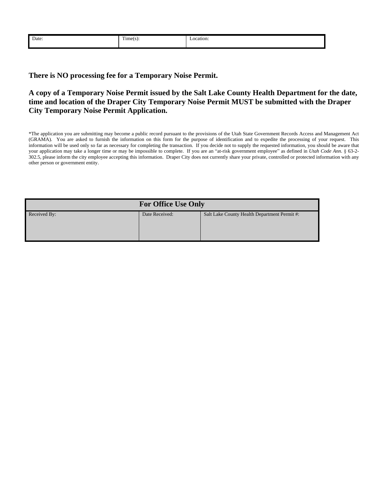| Date: | $\sim$<br>$1$ (1 me(s): | .ocation: |
|-------|-------------------------|-----------|
|       | ______                  |           |
|       |                         |           |
|       |                         |           |

**There is NO processing fee for a Temporary Noise Permit.**

#### **A copy of a Temporary Noise Permit issued by the Salt Lake County Health Department for the date, time and location of the Draper City Temporary Noise Permit MUST be submitted with the Draper City Temporary Noise Permit Application.**

\*The application you are submitting may become a public record pursuant to the provisions of the Utah State Government Records Access and Management Act (GRAMA). You are asked to furnish the information on this form for the purpose of identification and to expedite the processing of your request. This information will be used only so far as necessary for completing the transaction. If you decide not to supply the requested information, you should be aware that your application may take a longer time or may be impossible to complete. If you are an "at-risk government employee" as defined in *Utah Code Ann.* § 63-2- 302.5, please inform the city employee accepting this information. Draper City does not currently share your private, controlled or protected information with any other person or government entity.

| <b>For Office Use Only</b> |                |                                              |  |  |
|----------------------------|----------------|----------------------------------------------|--|--|
| Received By:               | Date Received: | Salt Lake County Health Department Permit #: |  |  |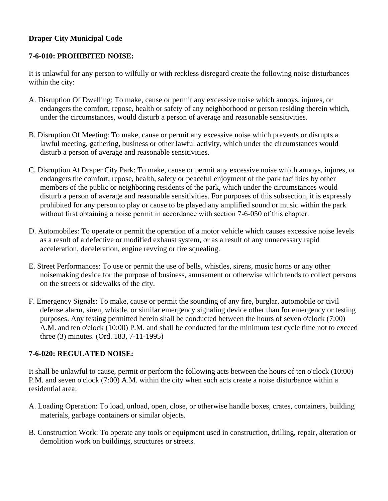## **Draper City Municipal Code**

## **7-6-010: PROHIBITED NOISE:**

It is unlawful for any person to wilfully or with reckless disregard create the following noise disturbances within the city:

- A. Disruption Of Dwelling: To make, cause or permit any excessive noise which annoys, injures, or endangers the comfort, repose, health or safety of any neighborhood or person residing therein which, under the circumstances, would disturb a person of average and reasonable sensitivities.
- B. Disruption Of Meeting: To make, cause or permit any excessive noise which prevents or disrupts a lawful meeting, gathering, business or other lawful activity, which under the circumstances would disturb a person of average and reasonable sensitivities.
- C. Disruption At Draper City Park: To make, cause or permit any excessive noise which annoys, injures, or endangers the comfort, repose, health, safety or peaceful enjoyment of the park facilities by other members of the public or neighboring residents of the park, which under the circumstances would disturb a person of average and reasonable sensitivities. For purposes of this subsection, it is expressly prohibited for any person to play or cause to be played any amplified sound or music within the park without first obtaining a noise permit in accordance with section 7-6-050 of this chapter.
- D. Automobiles: To operate or permit the operation of a motor vehicle which causes excessive noise levels as a result of a defective or modified exhaust system, or as a result of any unnecessary rapid acceleration, deceleration, engine revving or tire squealing.
- E. Street Performances: To use or permit the use of bells, whistles, sirens, music horns or any other noisemaking device for the purpose of business, amusement or otherwise which tends to collect persons on the streets or sidewalks of the city.
- F. Emergency Signals: To make, cause or permit the sounding of any fire, burglar, automobile or civil defense alarm, siren, whistle, or similar emergency signaling device other than for emergency or testing purposes. Any testing permitted herein shall be conducted between the hours of seven o'clock (7:00) A.M. and ten o'clock (10:00) P.M. and shall be conducted for the minimum test cycle time not to exceed three (3) minutes. (Ord. 183, 7-11-1995)

#### **7-6-020: REGULATED NOISE:**

It shall be unlawful to cause, permit or perform the following acts between the hours of ten o'clock (10:00) P.M. and seven o'clock (7:00) A.M. within the city when such acts create a noise disturbance within a residential area:

- A. Loading Operation: To load, unload, open, close, or otherwise handle boxes, crates, containers, building materials, garbage containers or similar objects.
- B. Construction Work: To operate any tools or equipment used in construction, drilling, repair, alteration or demolition work on buildings, structures or streets.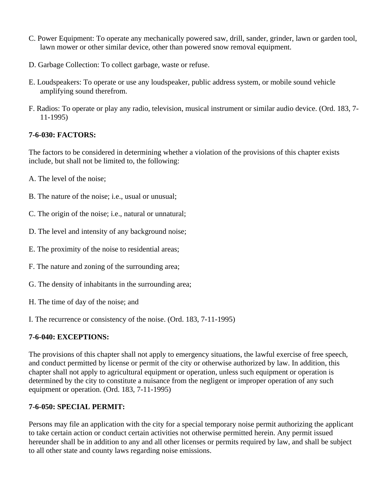- C. Power Equipment: To operate any mechanically powered saw, drill, sander, grinder, lawn or garden tool, lawn mower or other similar device, other than powered snow removal equipment.
- D. Garbage Collection: To collect garbage, waste or refuse.
- E. Loudspeakers: To operate or use any loudspeaker, public address system, or mobile sound vehicle amplifying sound therefrom.
- F. Radios: To operate or play any radio, television, musical instrument or similar audio device. (Ord. 183, 7- 11-1995)

#### **7-6-030: FACTORS:**

The factors to be considered in determining whether a violation of the provisions of this chapter exists include, but shall not be limited to, the following:

- A. The level of the noise;
- B. The nature of the noise; i.e., usual or unusual;
- C. The origin of the noise; i.e., natural or unnatural;
- D. The level and intensity of any background noise;
- E. The proximity of the noise to residential areas;
- F. The nature and zoning of the surrounding area;
- G. The density of inhabitants in the surrounding area;
- H. The time of day of the noise; and
- I. The recurrence or consistency of the noise. (Ord. 183, 7-11-1995)

#### **7-6-040: EXCEPTIONS:**

The provisions of this chapter shall not apply to emergency situations, the lawful exercise of free speech, and conduct permitted by license or permit of the city or otherwise authorized by law. In addition, this chapter shall not apply to agricultural equipment or operation, unless such equipment or operation is determined by the city to constitute a nuisance from the negligent or improper operation of any such equipment or operation. (Ord. 183, 7-11-1995)

#### **7-6-050: SPECIAL PERMIT:**

Persons may file an application with the city for a special temporary noise permit authorizing the applicant to take certain action or conduct certain activities not otherwise permitted herein. Any permit issued hereunder shall be in addition to any and all other licenses or permits required by law, and shall be subject to all other state and county laws regarding noise emissions.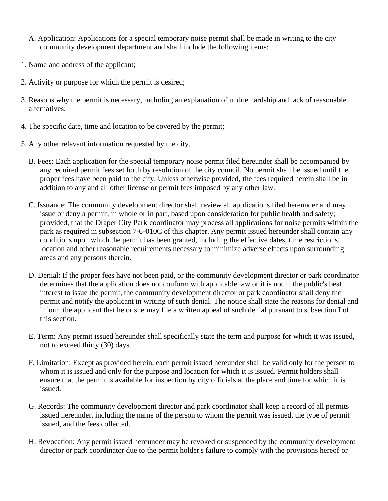- A. Application: Applications for a special temporary noise permit shall be made in writing to the city community development department and shall include the following items:
- 1. Name and address of the applicant;
- 2. Activity or purpose for which the permit is desired;
- 3. Reasons why the permit is necessary, including an explanation of undue hardship and lack of reasonable alternatives;
- 4. The specific date, time and location to be covered by the permit;
- 5. Any other relevant information requested by the city.
	- B. Fees: Each application for the special temporary noise permit filed hereunder shall be accompanied by any required permit fees set forth by resolution of the city council. No permit shall be issued until the proper fees have been paid to the city. Unless otherwise provided, the fees required herein shall be in addition to any and all other license or permit fees imposed by any other law.
	- C. Issuance: The community development director shall review all applications filed hereunder and may issue or deny a permit, in whole or in part, based upon consideration for public health and safety; provided, that the Draper City Park coordinator may process all applications for noise permits within the park as required in subsection 7-6-010C of this chapter. Any permit issued hereunder shall contain any conditions upon which the permit has been granted, including the effective dates, time restrictions, location and other reasonable requirements necessary to minimize adverse effects upon surrounding areas and any persons therein.
	- D. Denial: If the proper fees have not been paid, or the community development director or park coordinator determines that the application does not conform with applicable law or it is not in the public's best interest to issue the permit, the community development director or park coordinator shall deny the permit and notify the applicant in writing of such denial. The notice shall state the reasons for denial and inform the applicant that he or she may file a written appeal of such denial pursuant to subsection I of this section.
	- E. Term: Any permit issued hereunder shall specifically state the term and purpose for which it was issued, not to exceed thirty (30) days.
	- F. Limitation: Except as provided herein, each permit issued hereunder shall be valid only for the person to whom it is issued and only for the purpose and location for which it is issued. Permit holders shall ensure that the permit is available for inspection by city officials at the place and time for which it is issued.
	- G. Records: The community development director and park coordinator shall keep a record of all permits issued hereunder, including the name of the person to whom the permit was issued, the type of permit issued, and the fees collected.
	- H. Revocation: Any permit issued hereunder may be revoked or suspended by the community development director or park coordinator due to the permit holder's failure to comply with the provisions hereof or